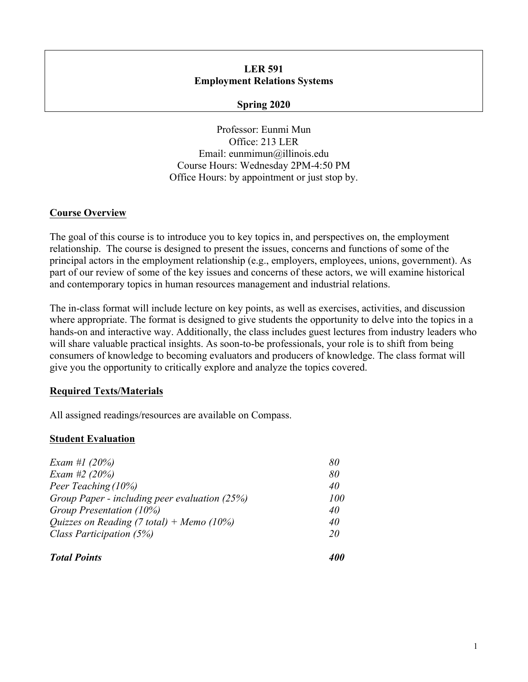## **LER 591 Employment Relations Systems**

### **Spring 2020**

Professor: Eunmi Mun Office: 213 LER Email: eunmimun@illinois.edu Course Hours: Wednesday 2PM-4:50 PM Office Hours: by appointment or just stop by.

## **Course Overview**

The goal of this course is to introduce you to key topics in, and perspectives on, the employment relationship. The course is designed to present the issues, concerns and functions of some of the principal actors in the employment relationship (e.g., employers, employees, unions, government). As part of our review of some of the key issues and concerns of these actors, we will examine historical and contemporary topics in human resources management and industrial relations.

The in-class format will include lecture on key points, as well as exercises, activities, and discussion where appropriate. The format is designed to give students the opportunity to delve into the topics in a hands-on and interactive way. Additionally, the class includes guest lectures from industry leaders who will share valuable practical insights. As soon-to-be professionals, your role is to shift from being consumers of knowledge to becoming evaluators and producers of knowledge. The class format will give you the opportunity to critically explore and analyze the topics covered.

## **Required Texts/Materials**

All assigned readings/resources are available on Compass.

# **Student Evaluation**

| <b>Total Points</b>                                                                                                                                              |                                    |                 |    |
|------------------------------------------------------------------------------------------------------------------------------------------------------------------|------------------------------------|-----------------|----|
| Class Participation (5%)                                                                                                                                         | 20                                 |                 |    |
| Exam #2 $(20%)$<br>Peer Teaching (10%)<br>Group Paper - including peer evaluation (25%)<br>Group Presentation (10%)<br>Quizzes on Reading (7 total) + Memo (10%) | 80<br>40<br><i>100</i><br>40<br>40 |                 |    |
|                                                                                                                                                                  |                                    | Exam #1 $(20%)$ | 80 |
|                                                                                                                                                                  |                                    |                 |    |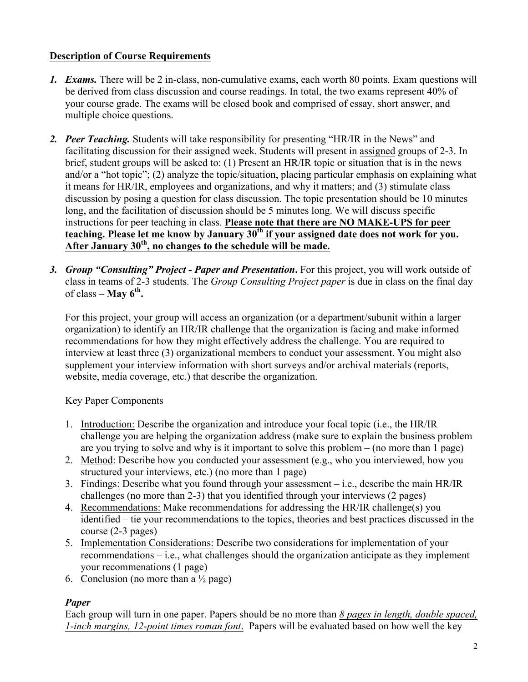# **Description of Course Requirements**

- *1. Exams.* There will be 2 in-class, non-cumulative exams, each worth 80 points. Exam questions will be derived from class discussion and course readings. In total, the two exams represent 40% of your course grade. The exams will be closed book and comprised of essay, short answer, and multiple choice questions.
- *2. Peer Teaching.* Students will take responsibility for presenting "HR/IR in the News" and facilitating discussion for their assigned week. Students will present in assigned groups of 2-3. In brief, student groups will be asked to: (1) Present an HR/IR topic or situation that is in the news and/or a "hot topic"; (2) analyze the topic/situation, placing particular emphasis on explaining what it means for HR/IR, employees and organizations, and why it matters; and (3) stimulate class discussion by posing a question for class discussion. The topic presentation should be 10 minutes long, and the facilitation of discussion should be 5 minutes long. We will discuss specific instructions for peer teaching in class. **Please note that there are NO MAKE-UPS for peer**  teaching. Please let me know by January 30<sup>th</sup> if your assigned date does not work for you. **After January 30th, no changes to the schedule will be made.**
- *3. Group "Consulting" Project - Paper and Presentation***.** For this project, you will work outside of class in teams of 2-3 students. The *Group Consulting Project paper* is due in class on the final day of class – **May 6th.**

For this project, your group will access an organization (or a department/subunit within a larger organization) to identify an HR/IR challenge that the organization is facing and make informed recommendations for how they might effectively address the challenge. You are required to interview at least three (3) organizational members to conduct your assessment. You might also supplement your interview information with short surveys and/or archival materials (reports, website, media coverage, etc.) that describe the organization.

Key Paper Components

- 1. Introduction: Describe the organization and introduce your focal topic (i.e., the HR/IR challenge you are helping the organization address (make sure to explain the business problem are you trying to solve and why is it important to solve this problem – (no more than 1 page)
- 2. Method: Describe how you conducted your assessment (e.g., who you interviewed, how you structured your interviews, etc.) (no more than 1 page)
- 3. Findings: Describe what you found through your assessment i.e., describe the main HR/IR challenges (no more than 2-3) that you identified through your interviews (2 pages)
- 4. Recommendations: Make recommendations for addressing the HR/IR challenge(s) you identified – tie your recommendations to the topics, theories and best practices discussed in the course (2-3 pages)
- 5. Implementation Considerations: Describe two considerations for implementation of your recommendations – i.e., what challenges should the organization anticipate as they implement your recommenations (1 page)
- 6. Conclusion (no more than a  $\frac{1}{2}$  page)

# *Paper*

Each group will turn in one paper. Papers should be no more than *8 pages in length, double spaced, 1-inch margins, 12-point times roman font*. Papers will be evaluated based on how well the key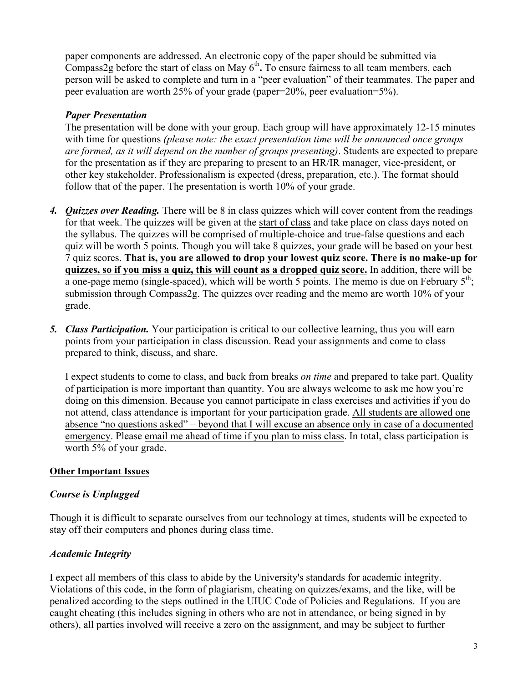paper components are addressed. An electronic copy of the paper should be submitted via Compass2g before the start of class on May  $6<sup>th</sup>$ . To ensure fairness to all team members, each person will be asked to complete and turn in a "peer evaluation" of their teammates. The paper and peer evaluation are worth 25% of your grade (paper=20%, peer evaluation=5%).

# *Paper Presentation*

The presentation will be done with your group. Each group will have approximately 12-15 minutes with time for questions *(please note: the exact presentation time will be announced once groups are formed, as it will depend on the number of groups presenting)*. Students are expected to prepare for the presentation as if they are preparing to present to an HR/IR manager, vice-president, or other key stakeholder. Professionalism is expected (dress, preparation, etc.). The format should follow that of the paper. The presentation is worth 10% of your grade.

- *4. Quizzes over Reading.* There will be 8 in class quizzes which will cover content from the readings for that week. The quizzes will be given at the start of class and take place on class days noted on the syllabus. The quizzes will be comprised of multiple-choice and true-false questions and each quiz will be worth 5 points. Though you will take 8 quizzes, your grade will be based on your best 7 quiz scores. **That is, you are allowed to drop your lowest quiz score. There is no make-up for quizzes, so if you miss a quiz, this will count as a dropped quiz score.** In addition, there will be a one-page memo (single-spaced), which will be worth 5 points. The memo is due on February  $5<sup>th</sup>$ ; submission through Compass2g. The quizzes over reading and the memo are worth 10% of your grade.
- *5. Class Participation.* Your participation is critical to our collective learning, thus you will earn points from your participation in class discussion. Read your assignments and come to class prepared to think, discuss, and share.

I expect students to come to class, and back from breaks *on time* and prepared to take part. Quality of participation is more important than quantity. You are always welcome to ask me how you're doing on this dimension. Because you cannot participate in class exercises and activities if you do not attend, class attendance is important for your participation grade. All students are allowed one absence "no questions asked" – beyond that I will excuse an absence only in case of a documented emergency. Please email me ahead of time if you plan to miss class. In total, class participation is worth 5% of your grade.

## **Other Important Issues**

## *Course is Unplugged*

Though it is difficult to separate ourselves from our technology at times, students will be expected to stay off their computers and phones during class time.

## *Academic Integrity*

I expect all members of this class to abide by the University's standards for academic integrity. Violations of this code, in the form of plagiarism, cheating on quizzes/exams, and the like, will be penalized according to the steps outlined in the UIUC Code of Policies and Regulations. If you are caught cheating (this includes signing in others who are not in attendance, or being signed in by others), all parties involved will receive a zero on the assignment, and may be subject to further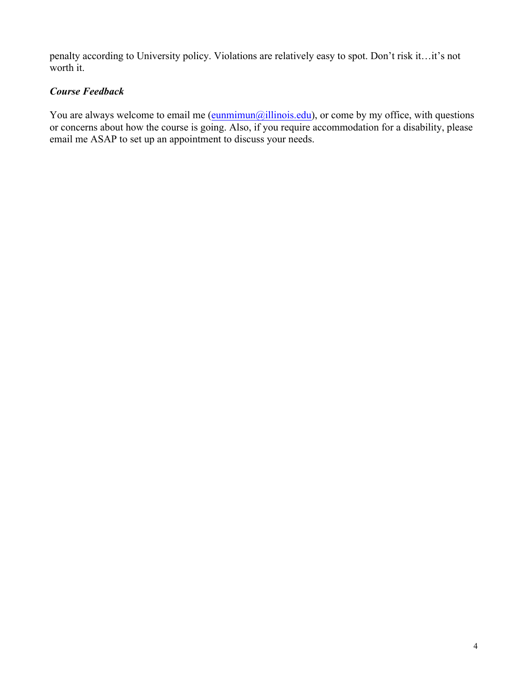penalty according to University policy. Violations are relatively easy to spot. Don't risk it…it's not worth it.

# *Course Feedback*

You are always welcome to email me  $(\frac{eunminum(a)}{ellinois.edu})$ , or come by my office, with questions or concerns about how the course is going. Also, if you require accommodation for a disability, please email me ASAP to set up an appointment to discuss your needs.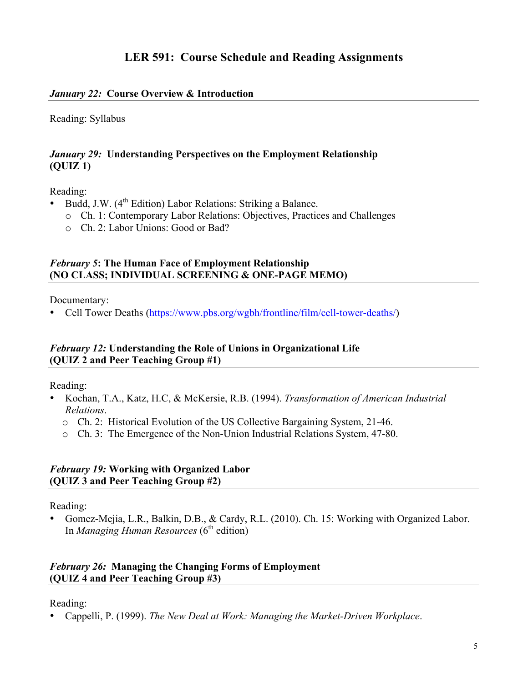# **LER 591: Course Schedule and Reading Assignments**

## *January 22:* **Course Overview & Introduction**

Reading: Syllabus

#### *January 29:* **Understanding Perspectives on the Employment Relationship (QUIZ 1)**

#### Reading:

- Budd, J.W.  $(4^{th}$  Edition) Labor Relations: Striking a Balance.
	- o Ch. 1: Contemporary Labor Relations: Objectives, Practices and Challenges
	- o Ch. 2: Labor Unions: Good or Bad?

## *February 5***: The Human Face of Employment Relationship (NO CLASS; INDIVIDUAL SCREENING & ONE-PAGE MEMO)**

Documentary:

• Cell Tower Deaths (https://www.pbs.org/wgbh/frontline/film/cell-tower-deaths/)

## *February 12:* **Understanding the Role of Unions in Organizational Life (QUIZ 2 and Peer Teaching Group #1)**

Reading:

- Kochan, T.A., Katz, H.C, & McKersie, R.B. (1994). *Transformation of American Industrial Relations*.
	- o Ch. 2: Historical Evolution of the US Collective Bargaining System, 21-46.
	- o Ch. 3: The Emergence of the Non-Union Industrial Relations System, 47-80.

#### *February 19:* **Working with Organized Labor (QUIZ 3 and Peer Teaching Group #2)**

Reading:

• Gomez-Mejia, L.R., Balkin, D.B., & Cardy, R.L. (2010). Ch. 15: Working with Organized Labor. In *Managing Human Resources* (6<sup>th</sup> edition)

### *February 26:* **Managing the Changing Forms of Employment (QUIZ 4 and Peer Teaching Group #3)**

Reading:

• Cappelli, P. (1999). *The New Deal at Work: Managing the Market-Driven Workplace*.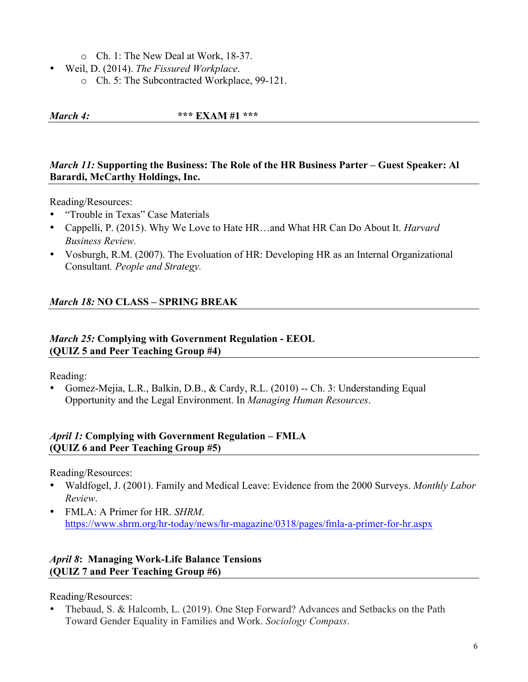o Ch. 1: The New Deal at Work, 18-37.

- Weil, D. (2014). *The Fissured Workplace*.
	- o Ch. 5: The Subcontracted Workplace, 99-121.

*March 4:* **\*\*\* EXAM #1 \*\*\***

## *March 11:* **Supporting the Business: The Role of the HR Business Parter – Guest Speaker: Al Barardi, McCarthy Holdings, Inc.**

Reading/Resources:

- "Trouble in Texas" Case Materials
- Cappelli, P. (2015). Why We Love to Hate HR…and What HR Can Do About It. *Harvard Business Review.*
- Vosburgh, R.M. (2007). The Evoluation of HR: Developing HR as an Internal Organizational Consultant*. People and Strategy.*

## *March 18:* **NO CLASS – SPRING BREAK**

### *March 25:* **Complying with Government Regulation - EEOL (QUIZ 5 and Peer Teaching Group #4)**

Reading:

• Gomez-Mejia, L.R., Balkin, D.B., & Cardy, R.L. (2010) -- Ch. 3: Understanding Equal Opportunity and the Legal Environment. In *Managing Human Resources*.

## *April 1:* **Complying with Government Regulation – FMLA (QUIZ 6 and Peer Teaching Group #5)**

Reading/Resources:

- Waldfogel, J. (2001). Family and Medical Leave: Evidence from the 2000 Surveys. *Monthly Labor Review*.
- FMLA: A Primer for HR. *SHRM*. https://www.shrm.org/hr-today/news/hr-magazine/0318/pages/fmla-a-primer-for-hr.aspx

# *April 8***: Managing Work-Life Balance Tensions (QUIZ 7 and Peer Teaching Group #6)**

Reading/Resources:

• Thebaud, S. & Halcomb, L. (2019). One Step Forward? Advances and Setbacks on the Path Toward Gender Equality in Families and Work. *Sociology Compass*.